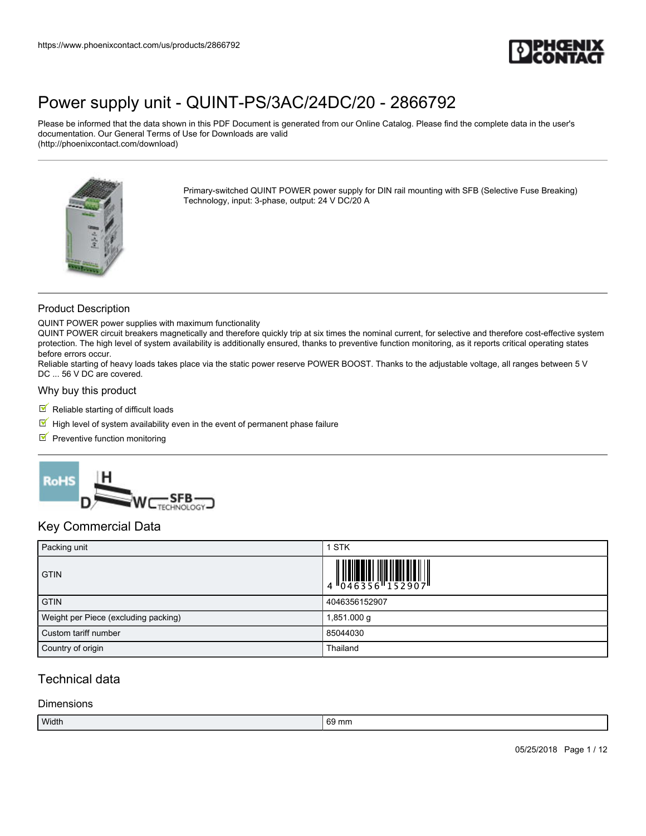

Please be informed that the data shown in this PDF Document is generated from our Online Catalog. Please find the complete data in the user's documentation. Our General Terms of Use for Downloads are valid (http://phoenixcontact.com/download)



Primary-switched QUINT POWER power supply for DIN rail mounting with SFB (Selective Fuse Breaking) Technology, input: 3-phase, output: 24 V DC/20 A

#### Product Description

QUINT POWER power supplies with maximum functionality

QUINT POWER circuit breakers magnetically and therefore quickly trip at six times the nominal current, for selective and therefore cost-effective system protection. The high level of system availability is additionally ensured, thanks to preventive function monitoring, as it reports critical operating states before errors occur.

Reliable starting of heavy loads takes place via the static power reserve POWER BOOST. Thanks to the adjustable voltage, all ranges between 5 V DC ... 56 V DC are covered.

#### Why buy this product

- $\blacksquare$  Reliable starting of difficult loads
- $\blacksquare$  High level of system availability even in the event of permanent phase failure
- $\blacksquare$  Preventive function monitoring



### Key Commercial Data

| Packing unit                         | <b>STK</b>                                                                                                    |
|--------------------------------------|---------------------------------------------------------------------------------------------------------------|
| <b>GTIN</b>                          | $\begin{array}{c} 1 & 0 & 0 & 0 & 0 \\ 0 & 0 & 4 & 6 & 3 & 5 & 6 \\ 0 & 0 & 4 & 6 & 3 & 5 & 6 \\ \end{array}$ |
| <b>GTIN</b>                          | 4046356152907                                                                                                 |
| Weight per Piece (excluding packing) | 1,851.000 g                                                                                                   |
| Custom tariff number                 | 85044030                                                                                                      |
| Country of origin                    | Thailand                                                                                                      |

### Technical data

#### **Dimensions**

| Width<br>$\sim$<br>ּmm.<br>69 |  |
|-------------------------------|--|
|-------------------------------|--|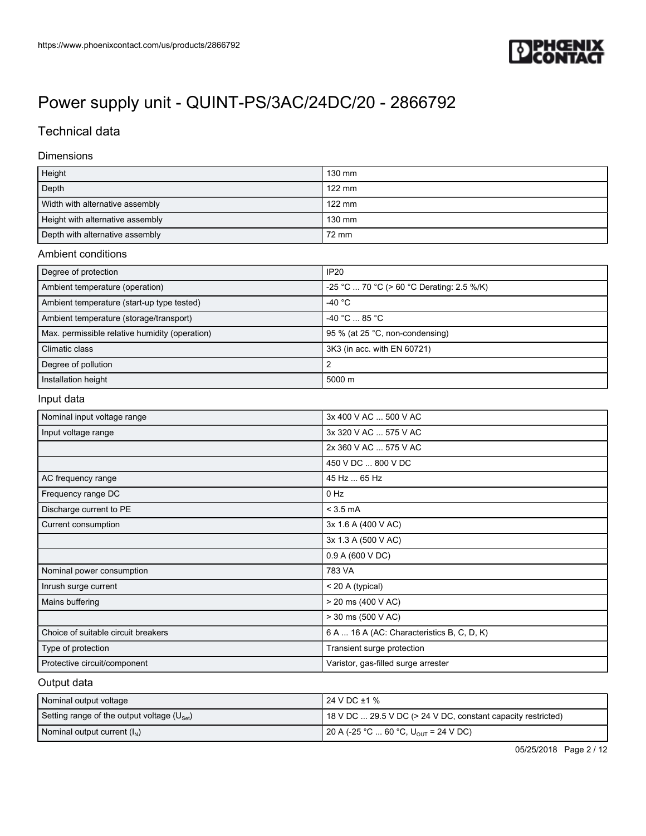

## Technical data

#### Dimensions

| Height                           | 130 mm           |
|----------------------------------|------------------|
| Depth                            | $122 \text{ mm}$ |
| Width with alternative assembly  | $122 \text{ mm}$ |
| Height with alternative assembly | 130 mm           |
| Depth with alternative assembly  | 72 mm            |

#### Ambient conditions

| Degree of protection                           | <b>IP20</b>                               |
|------------------------------------------------|-------------------------------------------|
| Ambient temperature (operation)                | -25 °C  70 °C (> 60 °C Derating: 2.5 %/K) |
| Ambient temperature (start-up type tested)     | -40 °C                                    |
| Ambient temperature (storage/transport)        | -40 °C  85 °C                             |
| Max. permissible relative humidity (operation) | 95 % (at 25 °C, non-condensing)           |
| Climatic class                                 | 3K3 (in acc. with EN 60721)               |
| Degree of pollution                            |                                           |
| Installation height                            | 5000 m                                    |

#### Input data

| Nominal input voltage range         | 3x 400 V AC  500 V AC                      |
|-------------------------------------|--------------------------------------------|
| Input voltage range                 | 3x 320 V AC  575 V AC                      |
|                                     | 2x 360 V AC  575 V AC                      |
|                                     | 450 V DC  800 V DC                         |
| AC frequency range                  | 45 Hz  65 Hz                               |
| Frequency range DC                  | $0$ Hz                                     |
| Discharge current to PE             | $<$ 3.5 mA                                 |
| Current consumption                 | 3x 1.6 A (400 V AC)                        |
|                                     | 3x 1.3 A (500 V AC)                        |
|                                     | 0.9 A (600 V DC)                           |
| Nominal power consumption           | 783 VA                                     |
| Inrush surge current                | < 20 A (typical)                           |
| Mains buffering                     | > 20 ms (400 V AC)                         |
|                                     | > 30 ms (500 V AC)                         |
| Choice of suitable circuit breakers | 6 A  16 A (AC: Characteristics B, C, D, K) |
| Type of protection                  | Transient surge protection                 |
| Protective circuit/component        | Varistor, gas-filled surge arrester        |

#### Output data

| Nominal output voltage                                 | l 24 V DC ±1 %                                               |
|--------------------------------------------------------|--------------------------------------------------------------|
| Setting range of the output voltage $(U_{\text{Set}})$ | 18 V DC  29.5 V DC (> 24 V DC, constant capacity restricted) |
| Nominal output current $(I_N)$                         | 20 A (-25 °C  60 °C, U <sub>OUT</sub> = 24 V DC)             |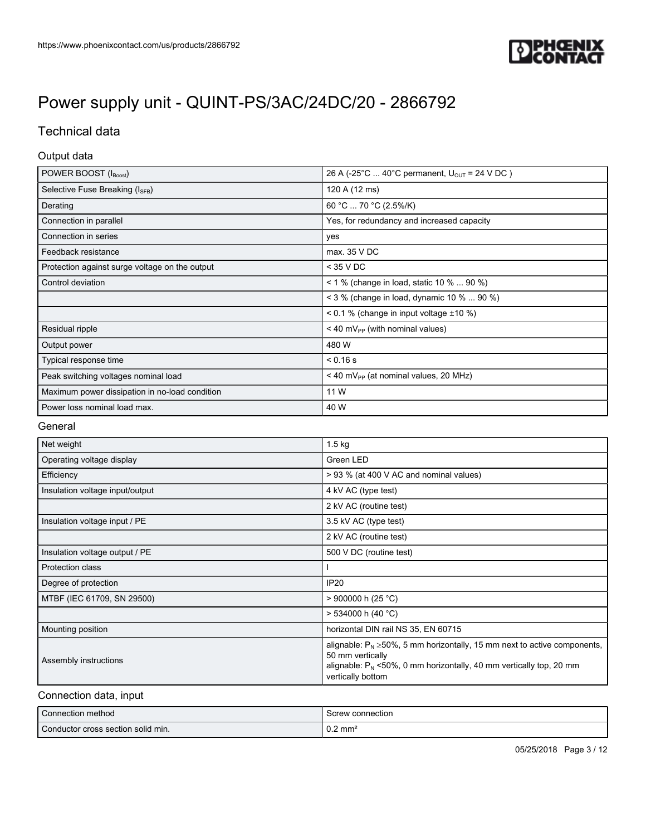

## Technical data

#### Output data

| POWER BOOST (IBoost)                           | 26 A (-25°C  40°C permanent, $U_{OIII}$ = 24 V DC)  |
|------------------------------------------------|-----------------------------------------------------|
| Selective Fuse Breaking (I <sub>SFB</sub> )    | 120 A (12 ms)                                       |
| Derating                                       | 60 °C  70 °C (2.5%/K)                               |
| Connection in parallel                         | Yes, for redundancy and increased capacity          |
| Connection in series                           | yes                                                 |
| Feedback resistance                            | max. 35 VDC                                         |
| Protection against surge voltage on the output | $<$ 35 V DC                                         |
| Control deviation                              | < 1 % (change in load, static 10 %  90 %)           |
|                                                | < 3 % (change in load, dynamic 10 %  90 %)          |
|                                                | $0.1$ % (change in input voltage $\pm 10$ %)        |
| Residual ripple                                | $<$ 40 mV <sub>PP</sub> (with nominal values)       |
| Output power                                   | 480 W                                               |
| Typical response time                          | $< 0.16$ s                                          |
| Peak switching voltages nominal load           | $<$ 40 mV <sub>PP</sub> (at nominal values, 20 MHz) |
| Maximum power dissipation in no-load condition | 11 W                                                |
| Power loss nominal load max.                   | 40 W                                                |

#### General

| Net weight                      | $1.5$ kg                                                                                                                                                                                          |
|---------------------------------|---------------------------------------------------------------------------------------------------------------------------------------------------------------------------------------------------|
| Operating voltage display       | Green LED                                                                                                                                                                                         |
| Efficiency                      | > 93 % (at 400 V AC and nominal values)                                                                                                                                                           |
| Insulation voltage input/output | 4 kV AC (type test)                                                                                                                                                                               |
|                                 | 2 kV AC (routine test)                                                                                                                                                                            |
| Insulation voltage input / PE   | 3.5 kV AC (type test)                                                                                                                                                                             |
|                                 | 2 kV AC (routine test)                                                                                                                                                                            |
| Insulation voltage output / PE  | 500 V DC (routine test)                                                                                                                                                                           |
| Protection class                |                                                                                                                                                                                                   |
| Degree of protection            | IP <sub>20</sub>                                                                                                                                                                                  |
| MTBF (IEC 61709, SN 29500)      | $>$ 900000 h (25 °C)                                                                                                                                                                              |
|                                 | $> 534000$ h (40 °C)                                                                                                                                                                              |
| Mounting position               | horizontal DIN rail NS 35, EN 60715                                                                                                                                                               |
| Assembly instructions           | alignable: $P_N \ge 50\%$ , 5 mm horizontally, 15 mm next to active components,<br>50 mm vertically<br>alignable: $P_N$ <50%, 0 mm horizontally, 40 mm vertically top, 20 mm<br>vertically bottom |

#### Connection data, input

| Connection method                  | Screw connection   |
|------------------------------------|--------------------|
| Conductor cross section solid min. | $0.2 \text{ mm}^2$ |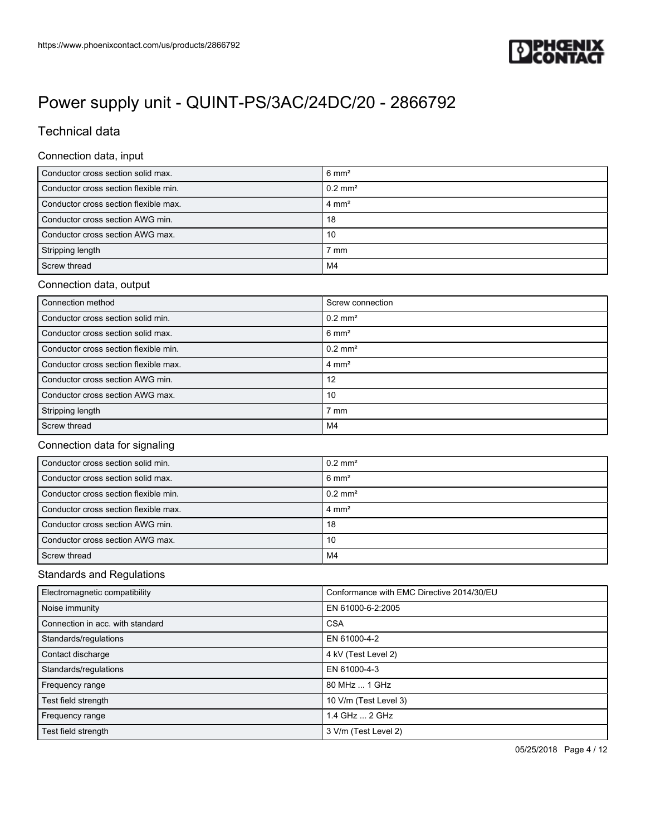

## Technical data

#### Connection data, input

| Conductor cross section solid max.    | $6 \text{ mm}^2$   |
|---------------------------------------|--------------------|
| Conductor cross section flexible min. | $0.2 \text{ mm}^2$ |
| Conductor cross section flexible max. | $4 \text{ mm}^2$   |
| Conductor cross section AWG min.      | 18                 |
| Conductor cross section AWG max.      | 10                 |
| Stripping length                      | $7 \text{ mm}$     |
| Screw thread                          | M4                 |

### Connection data, output

| Connection method                     | Screw connection      |
|---------------------------------------|-----------------------|
| Conductor cross section solid min.    | $0.2$ mm <sup>2</sup> |
| Conductor cross section solid max.    | $6 \text{ mm}^2$      |
| Conductor cross section flexible min. | $0.2$ mm <sup>2</sup> |
| Conductor cross section flexible max. | $4 \text{ mm}^2$      |
| Conductor cross section AWG min.      | 12                    |
| Conductor cross section AWG max.      | 10                    |
| Stripping length                      | 7 mm                  |
| Screw thread                          | M4                    |

#### Connection data for signaling

| Conductor cross section solid min.    | $0.2$ mm <sup>2</sup> |
|---------------------------------------|-----------------------|
| Conductor cross section solid max.    | $6 \text{ mm}^2$      |
| Conductor cross section flexible min. | $0.2$ mm <sup>2</sup> |
| Conductor cross section flexible max. | $4 \text{ mm}^2$      |
| Conductor cross section AWG min.      | 18                    |
| Conductor cross section AWG max.      | 10                    |
| Screw thread                          | M4                    |

#### Standards and Regulations

| Electromagnetic compatibility    | Conformance with EMC Directive 2014/30/EU |
|----------------------------------|-------------------------------------------|
| Noise immunity                   | EN 61000-6-2:2005                         |
| Connection in acc. with standard | <b>CSA</b>                                |
| Standards/regulations            | EN 61000-4-2                              |
| Contact discharge                | 4 kV (Test Level 2)                       |
| Standards/regulations            | EN 61000-4-3                              |
| Frequency range                  | 80 MHz  1 GHz                             |
| Test field strength              | 10 V/m (Test Level 3)                     |
| Frequency range                  | 1.4 GHz  2 GHz                            |
| Test field strength              | 3 V/m (Test Level 2)                      |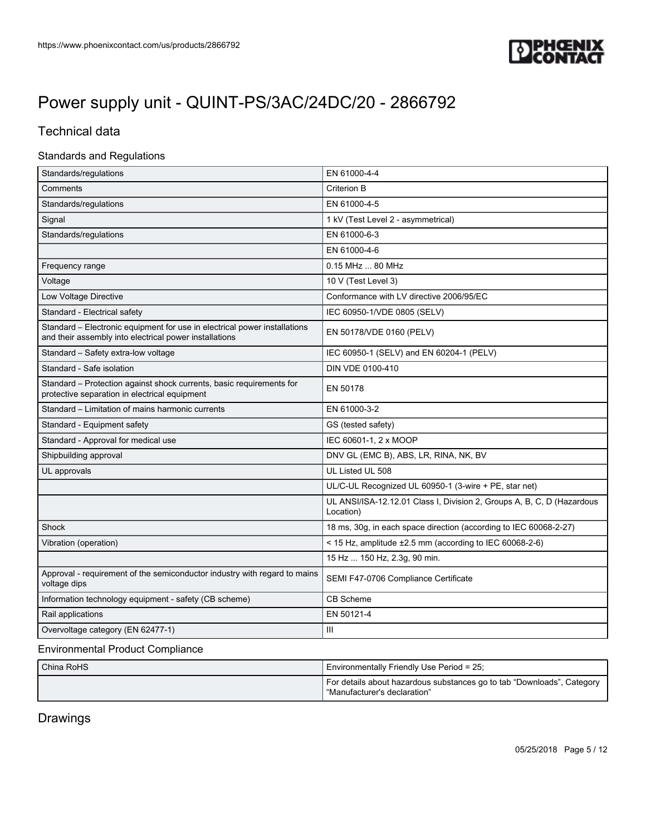

## Technical data

#### Standards and Regulations

| Standards/regulations                                                                                                               | EN 61000-4-4                                                                        |  |  |
|-------------------------------------------------------------------------------------------------------------------------------------|-------------------------------------------------------------------------------------|--|--|
| Comments                                                                                                                            | Criterion B                                                                         |  |  |
| Standards/regulations                                                                                                               | EN 61000-4-5                                                                        |  |  |
| Signal                                                                                                                              | 1 kV (Test Level 2 - asymmetrical)                                                  |  |  |
| Standards/regulations                                                                                                               | EN 61000-6-3                                                                        |  |  |
|                                                                                                                                     | EN 61000-4-6                                                                        |  |  |
| Frequency range                                                                                                                     | 0.15 MHz  80 MHz                                                                    |  |  |
| Voltage                                                                                                                             | 10 V (Test Level 3)                                                                 |  |  |
| Low Voltage Directive                                                                                                               | Conformance with LV directive 2006/95/EC                                            |  |  |
| Standard - Electrical safety                                                                                                        | IEC 60950-1/VDE 0805 (SELV)                                                         |  |  |
| Standard - Electronic equipment for use in electrical power installations<br>and their assembly into electrical power installations | EN 50178/VDE 0160 (PELV)                                                            |  |  |
| Standard - Safety extra-low voltage                                                                                                 | IEC 60950-1 (SELV) and EN 60204-1 (PELV)                                            |  |  |
| Standard - Safe isolation                                                                                                           | DIN VDE 0100-410                                                                    |  |  |
| Standard - Protection against shock currents, basic requirements for<br>protective separation in electrical equipment               | EN 50178                                                                            |  |  |
| Standard - Limitation of mains harmonic currents                                                                                    | EN 61000-3-2                                                                        |  |  |
| Standard - Equipment safety                                                                                                         | GS (tested safety)                                                                  |  |  |
| Standard - Approval for medical use                                                                                                 | IEC 60601-1, 2 x MOOP                                                               |  |  |
| Shipbuilding approval                                                                                                               | DNV GL (EMC B), ABS, LR, RINA, NK, BV                                               |  |  |
| UL approvals                                                                                                                        | UL Listed UL 508                                                                    |  |  |
|                                                                                                                                     | UL/C-UL Recognized UL 60950-1 (3-wire + PE, star net)                               |  |  |
|                                                                                                                                     | UL ANSI/ISA-12.12.01 Class I, Division 2, Groups A, B, C, D (Hazardous<br>Location) |  |  |
| Shock                                                                                                                               | 18 ms, 30g, in each space direction (according to IEC 60068-2-27)                   |  |  |
| Vibration (operation)                                                                                                               | < 15 Hz, amplitude $\pm 2.5$ mm (according to IEC 60068-2-6)                        |  |  |
|                                                                                                                                     | 15 Hz  150 Hz, 2.3g, 90 min.                                                        |  |  |
| Approval - requirement of the semiconductor industry with regard to mains<br>voltage dips                                           | SEMI F47-0706 Compliance Certificate                                                |  |  |
| Information technology equipment - safety (CB scheme)                                                                               | CB Scheme                                                                           |  |  |
| Rail applications                                                                                                                   | EN 50121-4                                                                          |  |  |
| Overvoltage category (EN 62477-1)                                                                                                   | Ш                                                                                   |  |  |

#### Environmental Product Compliance

| China RoHS | Environmentally Friendly Use Period = 25;                                                                |
|------------|----------------------------------------------------------------------------------------------------------|
|            | For details about hazardous substances go to tab "Downloads", Category<br>l "Manufacturer's declaration" |

Drawings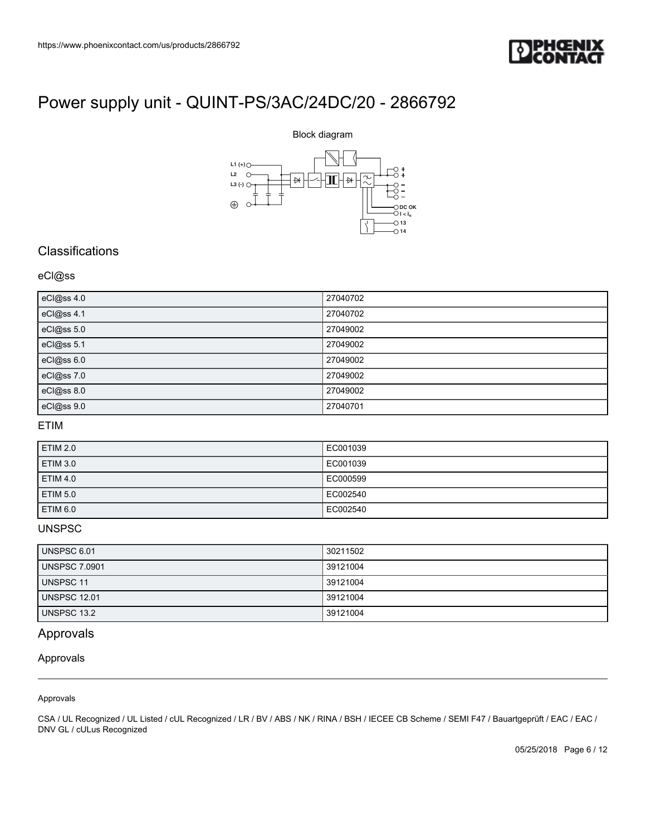



### **Classifications**

#### eCl@ss

|                                                                                                          | Block diagram                                        |
|----------------------------------------------------------------------------------------------------------|------------------------------------------------------|
| https://www.phoenixcontact.com/us/products/2866792<br>Power supply unit - QUINT-PS/3AC/24DC/20 - 2866792 |                                                      |
| L1 $(+)$<br>L2<br>$\circ$                                                                                |                                                      |
| $\quad \  \  \mapsto$<br>L3 $(\cdot)$ $\circ$                                                            | $\overline{\widetilde{\mathcal{X}}}$<br><b>∃E</b> H∗ |
| $\oplus$                                                                                                 | $\bigcirc$ DC OK                                     |
|                                                                                                          | $O1 < I_{N}$<br>$\bigcirc$ 13                        |
|                                                                                                          | $\bigcirc$ 14                                        |
|                                                                                                          |                                                      |
|                                                                                                          |                                                      |
|                                                                                                          | 27040702                                             |
| eCl@ss 4.0<br>eCl@ss 4.1                                                                                 | 27040702                                             |
| eCl@ss 5.0                                                                                               | 27049002                                             |
| Classifications<br>eCl@ss<br>eCl@ss 5.1                                                                  | 27049002                                             |
| eCl@ss 6.0                                                                                               | 27049002                                             |
| eCl@ss 7.0                                                                                               | 27049002                                             |
| eCl@ss 8.0<br>eCl@ss 9.0                                                                                 | 27049002<br>27040701                                 |

### ETIM

| <b>ETIM 2.0</b> | EC001039 |
|-----------------|----------|
| <b>ETIM 3.0</b> | EC001039 |
| <b>ETIM 4.0</b> | EC000599 |
| <b>ETIM 5.0</b> | EC002540 |
| ETIM 6.0        | EC002540 |

### UNSPSC

| UNSPSC 6.01          | 30211502 |
|----------------------|----------|
| <b>UNSPSC 7.0901</b> | 39121004 |
| UNSPSC 11            | 39121004 |
| <b>UNSPSC 12.01</b>  | 39121004 |
| UNSPSC 13.2          | 39121004 |

### Approvals

Approvals

Approvals

CSA / UL Recognized / UL Listed / cUL Recognized / LR / BV / ABS / NK / RINA / BSH / IECEE CB Scheme / SEMI F47 / Bauartgeprüft / EAC / EAC / DNV GL / cULus Recognized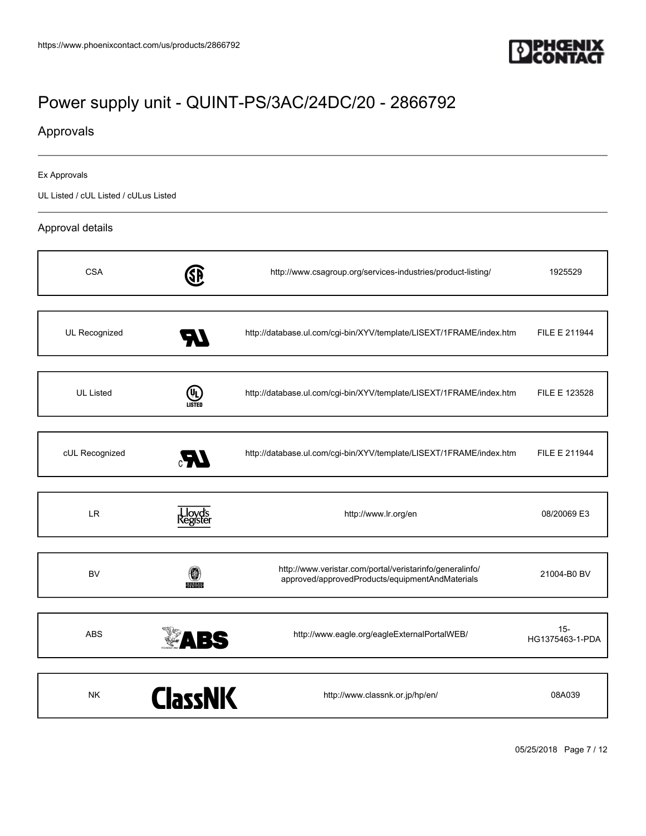

## Approvals

#### Ex Approvals

UL Listed / cUL Listed / cULus Listed

#### Approval details

| <b>CSA</b>       |                   | http://www.csagroup.org/services-industries/product-listing/                                                | 1925529                   |
|------------------|-------------------|-------------------------------------------------------------------------------------------------------------|---------------------------|
| UL Recognized    |                   | http://database.ul.com/cgi-bin/XYV/template/LISEXT/1FRAME/index.htm                                         | FILE E 211944             |
| <b>UL Listed</b> | (UL)<br>LISTED    | http://database.ul.com/cgi-bin/XYV/template/LISEXT/1FRAME/index.htm                                         | FILE E 123528             |
| cUL Recognized   | Æ                 | http://database.ul.com/cgi-bin/XYV/template/LISEXT/1FRAME/index.htm                                         | FILE E 211944             |
| <b>LR</b>        | loyd's<br>egister | http://www.lr.org/en                                                                                        | 08/20069 E3               |
| <b>BV</b>        | <b>BUREAU</b>     | http://www.veristar.com/portal/veristarinfo/generalinfo/<br>approved/approvedProducts/equipmentAndMaterials | 21004-B0 BV               |
| <b>ABS</b>       | <b>ABS</b>        | http://www.eagle.org/eagleExternalPortalWEB/                                                                | $15 -$<br>HG1375463-1-PDA |
| <b>NK</b>        | <b>ClassNK</b>    | http://www.classnk.or.jp/hp/en/                                                                             | 08A039                    |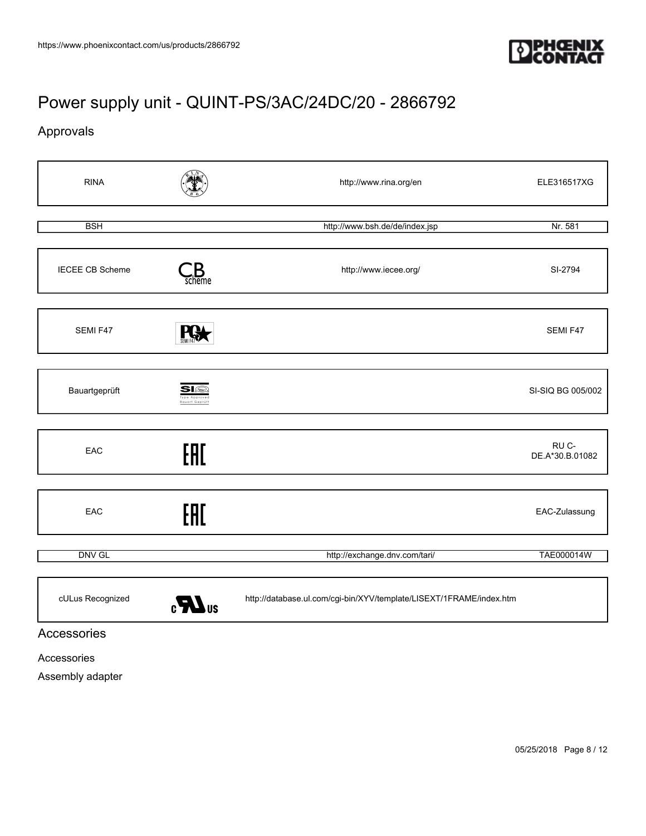

Approvals



Accessories

Assembly adapter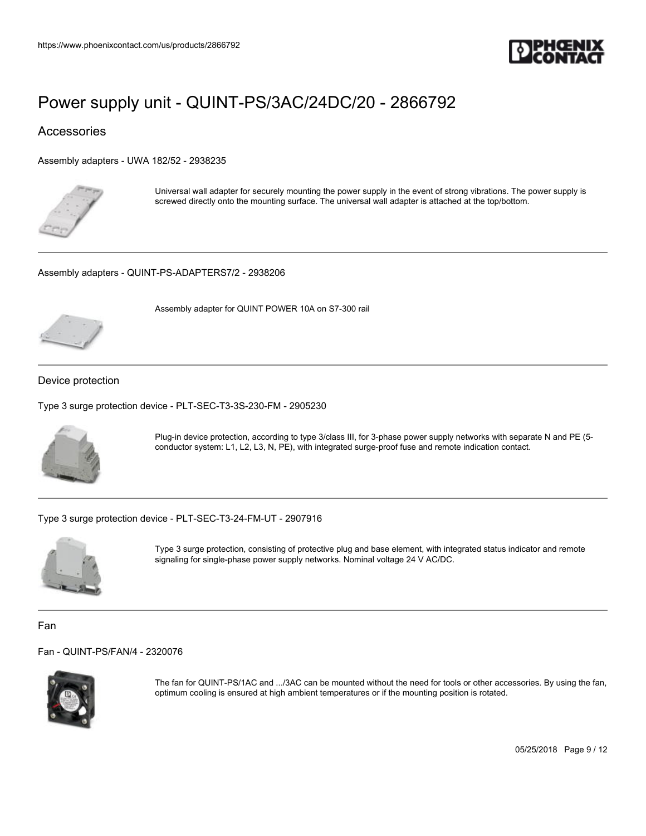

### Accessories

[Assembly adapters - UWA 182/52 - 2938235](https://www.phoenixcontact.com/us/products/2938235)



Universal wall adapter for securely mounting the power supply in the event of strong vibrations. The power supply is screwed directly onto the mounting surface. The universal wall adapter is attached at the top/bottom.

[Assembly adapters - QUINT-PS-ADAPTERS7/2 - 2938206](https://www.phoenixcontact.com/us/products/2938206)

Assembly adapter for QUINT POWER 10A on S7-300 rail



#### Device protection

[Type 3 surge protection device - PLT-SEC-T3-3S-230-FM - 2905230](https://www.phoenixcontact.com/us/products/2905230)



Plug-in device protection, according to type 3/class III, for 3-phase power supply networks with separate N and PE (5 conductor system: L1, L2, L3, N, PE), with integrated surge-proof fuse and remote indication contact.

[Type 3 surge protection device - PLT-SEC-T3-24-FM-UT - 2907916](https://www.phoenixcontact.com/us/products/2907916)



Type 3 surge protection, consisting of protective plug and base element, with integrated status indicator and remote signaling for single-phase power supply networks. Nominal voltage 24 V AC/DC.

Fan

[Fan - QUINT-PS/FAN/4 - 2320076](https://www.phoenixcontact.com/us/products/2320076)



The fan for QUINT-PS/1AC and .../3AC can be mounted without the need for tools or other accessories. By using the fan, optimum cooling is ensured at high ambient temperatures or if the mounting position is rotated.

05/25/2018 Page 9 / 12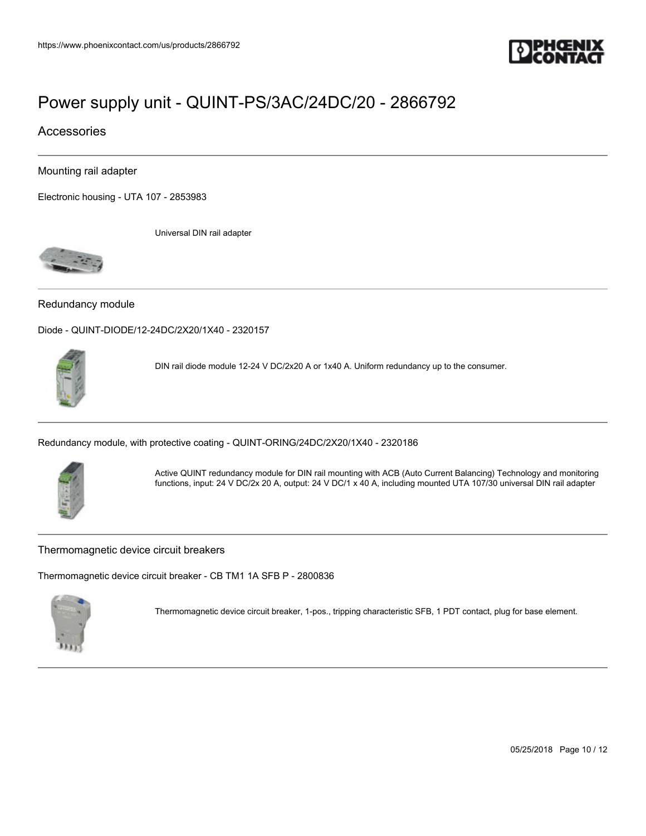

### Accessories

Mounting rail adapter

[Electronic housing - UTA 107 - 2853983](https://www.phoenixcontact.com/us/products/2853983)

Universal DIN rail adapter



#### Redundancy module

[Diode - QUINT-DIODE/12-24DC/2X20/1X40 - 2320157](https://www.phoenixcontact.com/us/products/2320157)



DIN rail diode module 12-24 V DC/2x20 A or 1x40 A. Uniform redundancy up to the consumer.

[Redundancy module, with protective coating - QUINT-ORING/24DC/2X20/1X40 - 2320186](https://www.phoenixcontact.com/us/products/2320186)



Active QUINT redundancy module for DIN rail mounting with ACB (Auto Current Balancing) Technology and monitoring functions, input: 24 V DC/2x 20 A, output: 24 V DC/1 x 40 A, including mounted UTA 107/30 universal DIN rail adapter

#### Thermomagnetic device circuit breakers

[Thermomagnetic device circuit breaker - CB TM1 1A SFB P - 2800836](https://www.phoenixcontact.com/us/products/2800836)



Thermomagnetic device circuit breaker, 1-pos., tripping characteristic SFB, 1 PDT contact, plug for base element.

05/25/2018 Page 10 / 12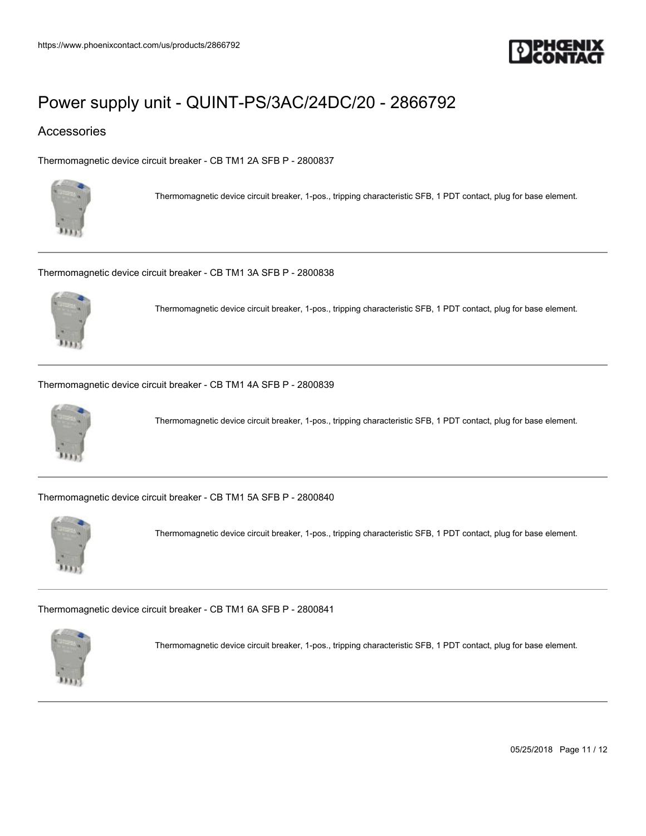

### Accessories

[Thermomagnetic device circuit breaker - CB TM1 2A SFB P - 2800837](https://www.phoenixcontact.com/us/products/2800837)



Thermomagnetic device circuit breaker, 1-pos., tripping characteristic SFB, 1 PDT contact, plug for base element.

[Thermomagnetic device circuit breaker - CB TM1 3A SFB P - 2800838](https://www.phoenixcontact.com/us/products/2800838)



Thermomagnetic device circuit breaker, 1-pos., tripping characteristic SFB, 1 PDT contact, plug for base element.

[Thermomagnetic device circuit breaker - CB TM1 4A SFB P - 2800839](https://www.phoenixcontact.com/us/products/2800839)



Thermomagnetic device circuit breaker, 1-pos., tripping characteristic SFB, 1 PDT contact, plug for base element.

[Thermomagnetic device circuit breaker - CB TM1 5A SFB P - 2800840](https://www.phoenixcontact.com/us/products/2800840)



Thermomagnetic device circuit breaker, 1-pos., tripping characteristic SFB, 1 PDT contact, plug for base element.

[Thermomagnetic device circuit breaker - CB TM1 6A SFB P - 2800841](https://www.phoenixcontact.com/us/products/2800841)



Thermomagnetic device circuit breaker, 1-pos., tripping characteristic SFB, 1 PDT contact, plug for base element.

05/25/2018 Page 11 / 12